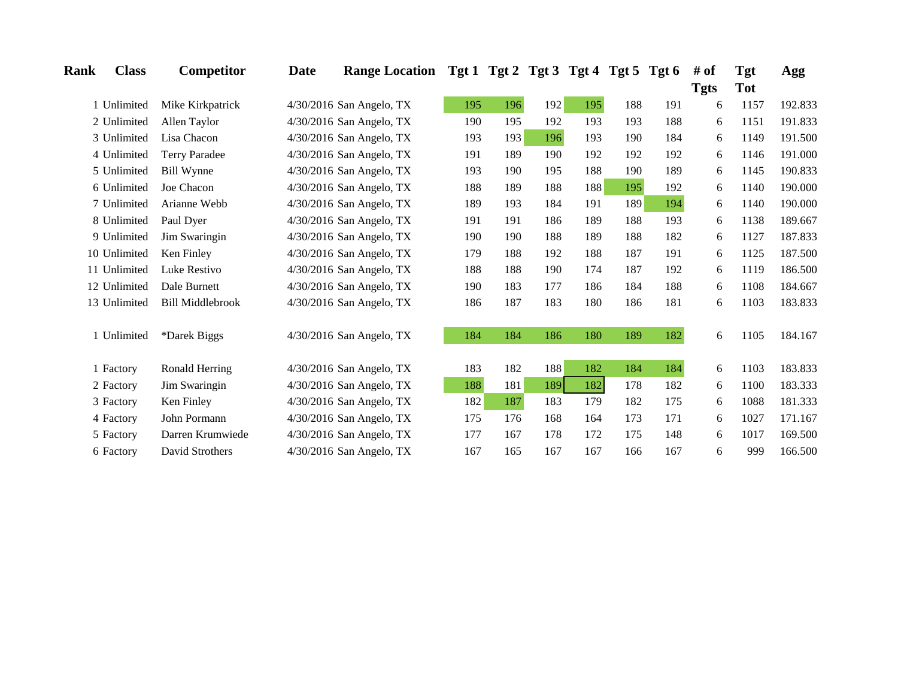| Rank | <b>Class</b> | Competitor              | Date | Range Location Tgt 1 Tgt 2 Tgt 3 Tgt 4 Tgt 5 Tgt 6 |     |     |     |     |     |     | # of        | Tgt        | Agg     |
|------|--------------|-------------------------|------|----------------------------------------------------|-----|-----|-----|-----|-----|-----|-------------|------------|---------|
|      |              |                         |      |                                                    |     |     |     |     |     |     | <b>Tgts</b> | <b>Tot</b> |         |
|      | 1 Unlimited  | Mike Kirkpatrick        |      | $4/30/2016$ San Angelo, TX                         | 195 | 196 | 192 | 195 | 188 | 191 | 6           | 1157       | 192.833 |
|      | 2 Unlimited  | Allen Taylor            |      | 4/30/2016 San Angelo, TX                           | 190 | 195 | 192 | 193 | 193 | 188 | 6           | 1151       | 191.833 |
|      | 3 Unlimited  | Lisa Chacon             |      | 4/30/2016 San Angelo, TX                           | 193 | 193 | 196 | 193 | 190 | 184 | 6           | 1149       | 191.500 |
|      | 4 Unlimited  | <b>Terry Paradee</b>    |      | $4/30/2016$ San Angelo, TX                         | 191 | 189 | 190 | 192 | 192 | 192 | 6           | 1146       | 191.000 |
|      | 5 Unlimited  | Bill Wynne              |      | $4/30/2016$ San Angelo, TX                         | 193 | 190 | 195 | 188 | 190 | 189 | 6           | 1145       | 190.833 |
|      | 6 Unlimited  | Joe Chacon              |      | 4/30/2016 San Angelo, TX                           | 188 | 189 | 188 | 188 | 195 | 192 | 6           | 1140       | 190.000 |
|      | 7 Unlimited  | Arianne Webb            |      | 4/30/2016 San Angelo, TX                           | 189 | 193 | 184 | 191 | 189 | 194 | 6           | 1140       | 190.000 |
|      | 8 Unlimited  | Paul Dyer               |      | $4/30/2016$ San Angelo, TX                         | 191 | 191 | 186 | 189 | 188 | 193 | 6           | 1138       | 189.667 |
|      | 9 Unlimited  | Jim Swaringin           |      | $4/30/2016$ San Angelo, TX                         | 190 | 190 | 188 | 189 | 188 | 182 | 6           | 1127       | 187.833 |
|      | 10 Unlimited | Ken Finley              |      | $4/30/2016$ San Angelo, TX                         | 179 | 188 | 192 | 188 | 187 | 191 | 6           | 1125       | 187.500 |
|      | 11 Unlimited | Luke Restivo            |      | 4/30/2016 San Angelo, TX                           | 188 | 188 | 190 | 174 | 187 | 192 | 6           | 1119       | 186.500 |
|      | 12 Unlimited | Dale Burnett            |      | 4/30/2016 San Angelo, TX                           | 190 | 183 | 177 | 186 | 184 | 188 | 6           | 1108       | 184.667 |
|      | 13 Unlimited | <b>Bill Middlebrook</b> |      | 4/30/2016 San Angelo, TX                           | 186 | 187 | 183 | 180 | 186 | 181 | 6           | 1103       | 183.833 |
|      | 1 Unlimited  | *Darek Biggs            |      | 4/30/2016 San Angelo, TX                           | 184 | 184 | 186 | 180 | 189 | 182 | 6           | 1105       | 184.167 |
|      | 1 Factory    | Ronald Herring          |      | $4/30/2016$ San Angelo, TX                         | 183 | 182 | 188 | 182 | 184 | 184 | 6           | 1103       | 183.833 |
|      | 2 Factory    | Jim Swaringin           |      | 4/30/2016 San Angelo, TX                           | 188 | 181 | 189 | 182 | 178 | 182 | 6           | 1100       | 183.333 |
|      | 3 Factory    | Ken Finley              |      | $4/30/2016$ San Angelo, TX                         | 182 | 187 | 183 | 179 | 182 | 175 | 6           | 1088       | 181.333 |
|      | 4 Factory    | John Pormann            |      | $4/30/2016$ San Angelo, TX                         | 175 | 176 | 168 | 164 | 173 | 171 | 6           | 1027       | 171.167 |
|      | 5 Factory    | Darren Krumwiede        |      | 4/30/2016 San Angelo, TX                           | 177 | 167 | 178 | 172 | 175 | 148 | 6           | 1017       | 169.500 |
|      | 6 Factory    | David Strothers         |      | 4/30/2016 San Angelo, TX                           | 167 | 165 | 167 | 167 | 166 | 167 | 6           | 999        | 166.500 |